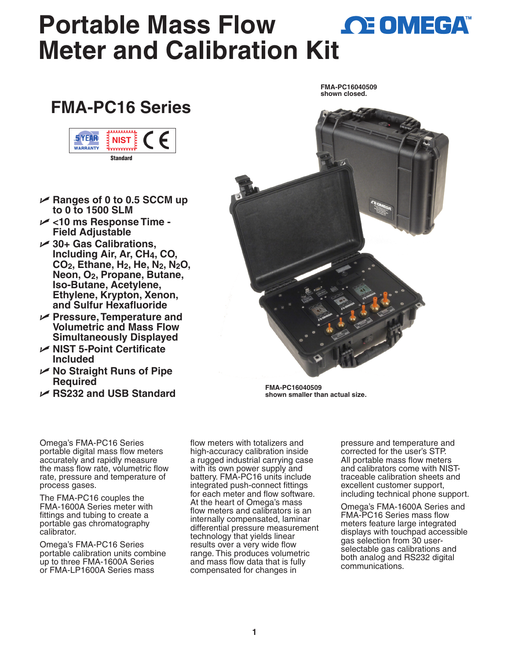## **Portable Mass Flow 
<u>CE OMEGA</u> Meter and Calibration Ki[t](www.omega.com)**

## **FMA-PC16 Series**



- U **Ranges of 0 to 0.5 SCCM up to 0 to 1500 SLM**
- U **<10 ms Response Time Field Adjustable**
- U **30+ Gas Calibrations, Including Air, Ar, CH4, CO, CO2, Ethane, H2, He, N2, N2O, Neon, O2, Propane, Butane, Iso-Butane, Acetylene, Ethylene, Krypton, Xenon, and Sulfur Hexafluoride**
- U **Pressure, Temperature and Volumetric and Mass Flow Simultaneously Displayed**
- U **NIST 5-Point Certificate Included**
- U **No Straight Runs of Pipe Required**
- U **RS232 and USB Standard**



**FMA-PC16040509 shown closed.**

**FMA-PC16040509 shown smaller than actual size.**

Omega's FMA-PC16 Series portable digital mass flow meters accurately and rapidly measure the mass flow rate, volumetric flow rate, pressure and temperature of process gases.

The FMA-PC16 couples the FMA-1600A Series meter with fittings and tubing to create a portable gas chromatography calibrator.

Omega's FMA-PC16 Series portable calibration units combine up to three FMA-1600A Series or FMA-LP1600A Series mass

flow meters with totalizers and high-accuracy calibration inside a rugged industrial carrying case with its own power supply and battery. FMA-PC16 units include integrated push-connect fittings for each meter and flow software. At the heart of Omega's mass flow meters and calibrators is an internally compensated, laminar differential pressure measurement technology that yields linear results over a very wide flow range. This produces volumetric and mass flow data that is fully compensated for changes in

pressure and temperature and corrected for the user's STP. All portable mass flow meters and calibrators come with NISTtraceable calibration sheets and excellent customer support, including technical phone support.

Omega's FMA-1600A Series and FMA-PC16 Series mass flow meters feature large integrated displays with touchpad accessible gas selection from 30 userselectable gas calibrations and both analog and RS232 digital communications.